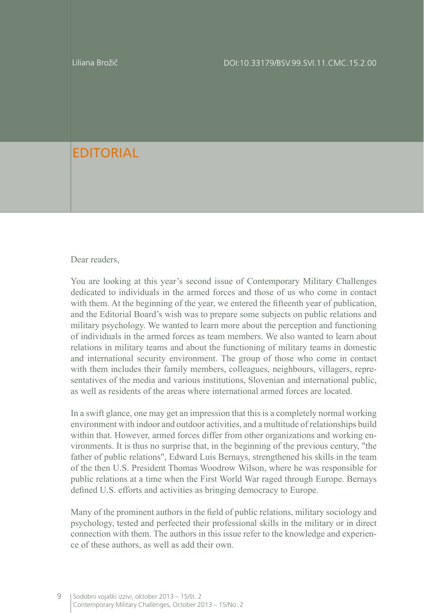Liliana Brožič

## **FDITORIAL**

## Dear readers,

You are looking at this year's second issue of Contemporary Military Challenges dedicated to individuals in the armed forces and those of us who come in contact with them. At the beginning of the year, we entered the fifteenth year of publication, and the Editorial Board's wish was to prepare some subjects on public relations and military psychology. We wanted to learn more about the perception and functioning of individuals in the armed forces as team members. We also wanted to learn about relations in military teams and about the functioning of military teams in domestic and international security environment. The group of those who come in contact with them includes their family members, colleagues, neighbours, villagers, representatives of the media and various institutions, Slovenian and international public, as well as residents of the areas where international armed forces are located.

In a swift glance, one may get an impression that this is a completely normal working environment with indoor and outdoor activities, and a multitude of relationships build within that. However, armed forces differ from other organizations and working environments. It is thus no surprise that, in the beginning of the previous century, "the father of public relations", Edward Luis Bernays, strengthened his skills in the team of the then U.S. President Thomas Woodrow Wilson, where he was responsible for public relations at a time when the First World War raged through Europe. Bernays defined U.S. efforts and activities as bringing democracy to Europe.

Many of the prominent authors in the field of public relations, military sociology and psychology, tested and perfected their professional skills in the military or in direct connection with them. The authors in this issue refer to the knowledge and experience of these authors, as well as add their own.